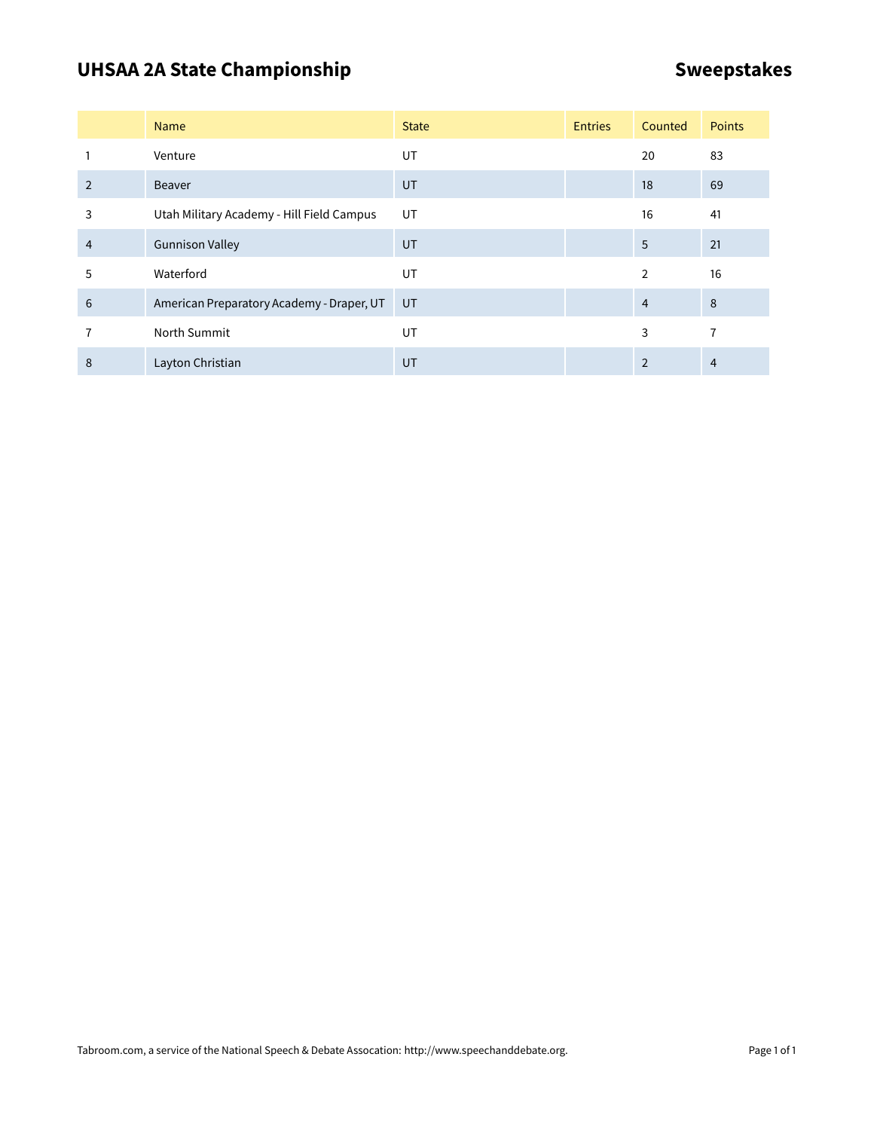# UHSAA 2A State Championship **SWEEP 3RD** Sweepstakes

|                | <b>Name</b>                               | <b>State</b> | <b>Entries</b> | Counted        | Points |
|----------------|-------------------------------------------|--------------|----------------|----------------|--------|
|                | Venture                                   | UT           |                | 20             | 83     |
| $\overline{2}$ | <b>Beaver</b>                             | UT           |                | 18             | 69     |
| 3              | Utah Military Academy - Hill Field Campus | UT           |                | 16             | 41     |
| $\overline{4}$ | <b>Gunnison Valley</b>                    | UT           |                | 5              | 21     |
| 5              | Waterford                                 | <b>UT</b>    |                | $\overline{2}$ | 16     |
| 6              | American Preparatory Academy - Draper, UT | UT           |                | $\overline{4}$ | 8      |
|                | North Summit                              | UT           |                | 3              | 7      |
| 8              | Layton Christian                          | UT           |                | 2              | 4      |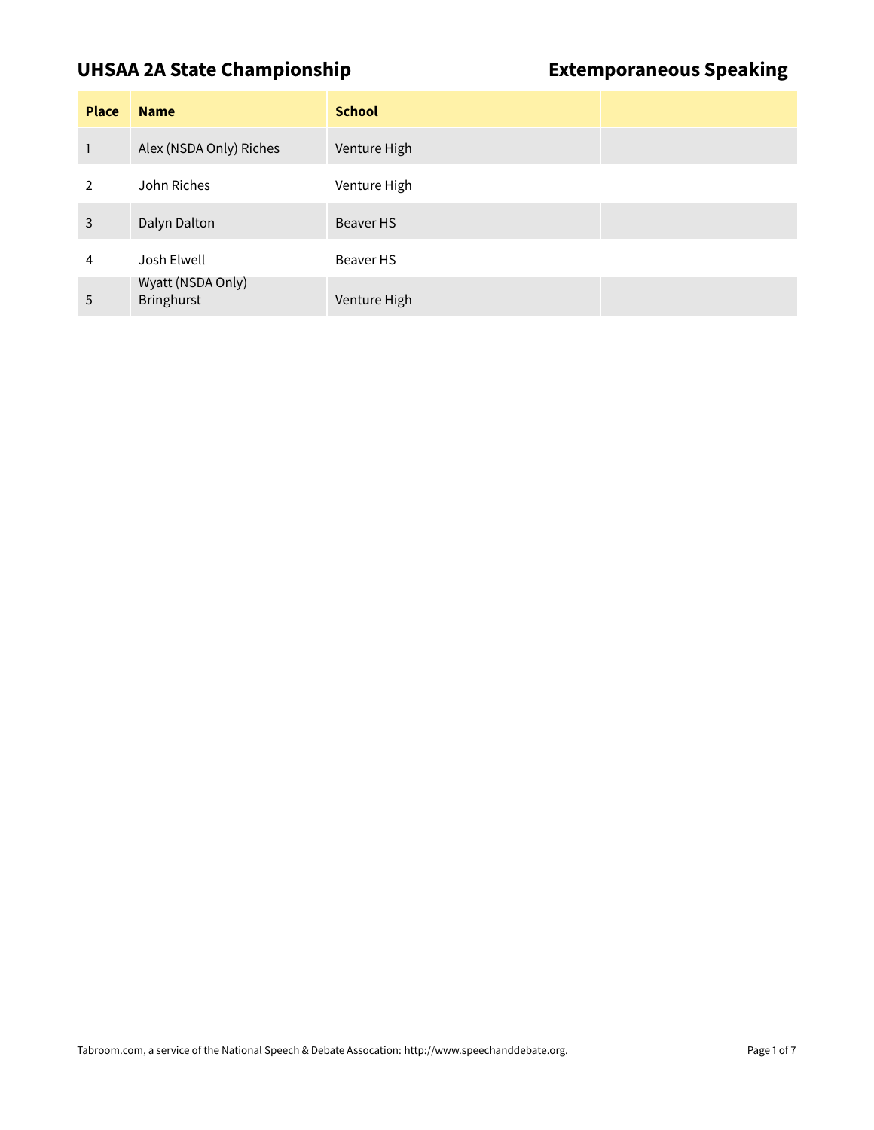### **UHSAA 2A State Championship Extemporaneous Speaking**

| <b>Place</b>  | <b>Name</b>                            | <b>School</b> |  |
|---------------|----------------------------------------|---------------|--|
| 1             | Alex (NSDA Only) Riches                | Venture High  |  |
| $\mathcal{P}$ | John Riches                            | Venture High  |  |
| 3             | Dalyn Dalton                           | Beaver HS     |  |
| 4             | Josh Elwell                            | Beaver HS     |  |
| 5             | Wyatt (NSDA Only)<br><b>Bringhurst</b> | Venture High  |  |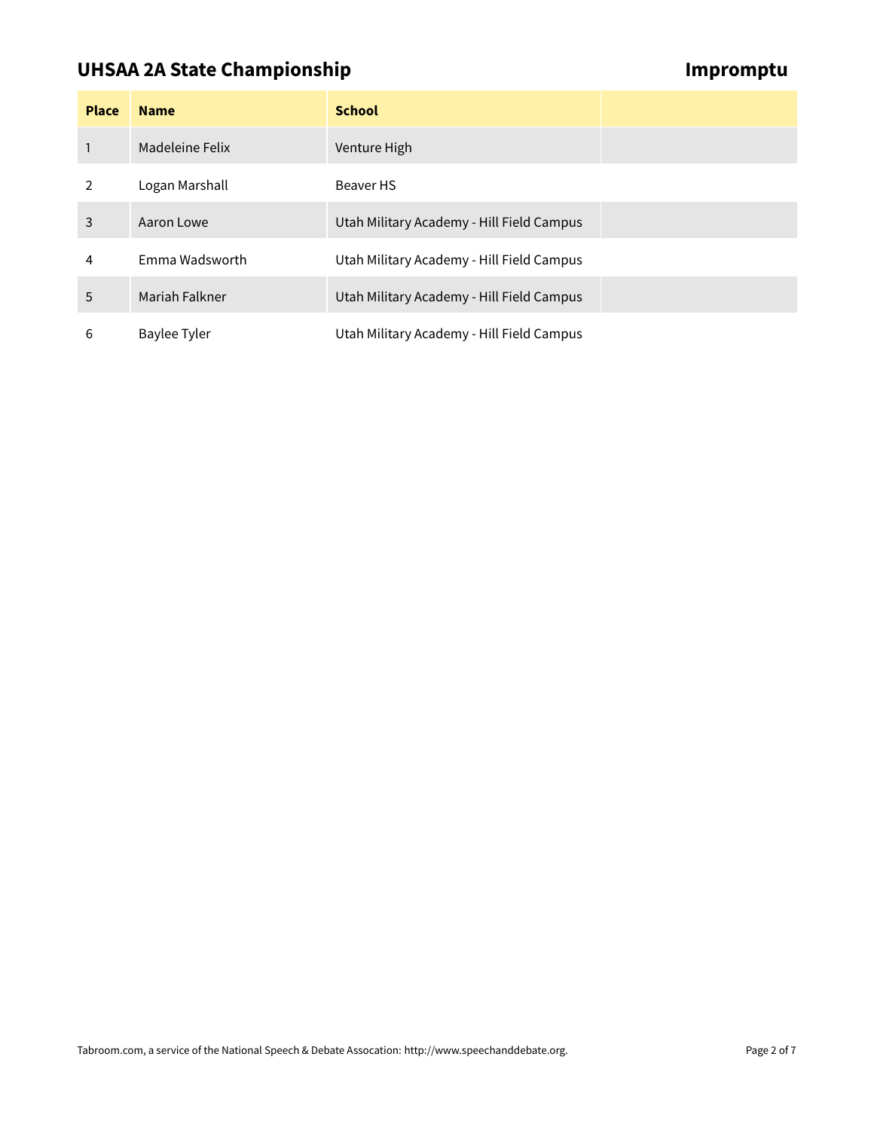### **UHSAA 2A State Championship Impromptu Championship**

| <b>Place</b>   | <b>Name</b>     | <b>School</b>                             |  |
|----------------|-----------------|-------------------------------------------|--|
|                | Madeleine Felix | Venture High                              |  |
| $\overline{2}$ | Logan Marshall  | Beaver HS                                 |  |
| 3              | Aaron Lowe      | Utah Military Academy - Hill Field Campus |  |
| 4              | Emma Wadsworth  | Utah Military Academy - Hill Field Campus |  |
| 5              | Mariah Falkner  | Utah Military Academy - Hill Field Campus |  |
| 6              | Baylee Tyler    | Utah Military Academy - Hill Field Campus |  |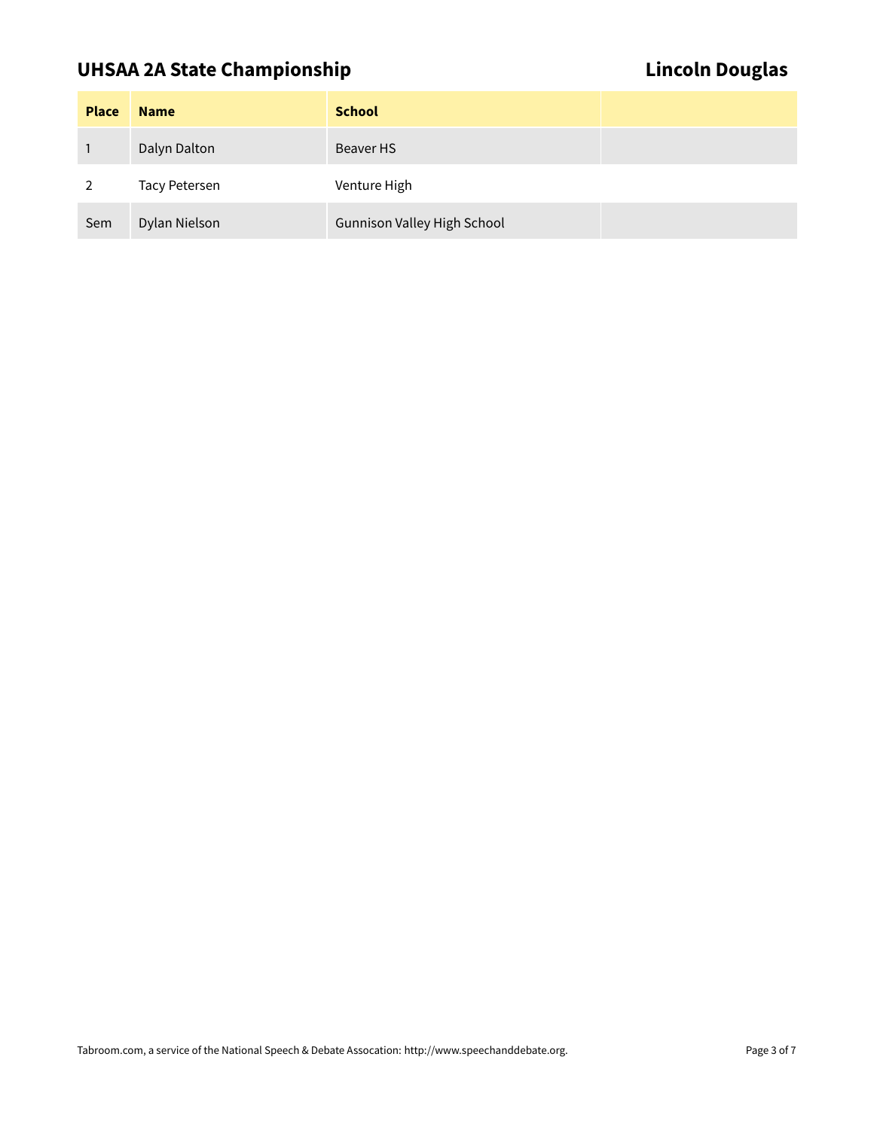# UHSAA 2A State Championship **Lincoln Douglas**

| <b>Place</b> | <b>Name</b>          | <b>School</b>                      |  |
|--------------|----------------------|------------------------------------|--|
|              | Dalyn Dalton         | Beaver HS                          |  |
|              | <b>Tacy Petersen</b> | Venture High                       |  |
| Sem          | Dylan Nielson        | <b>Gunnison Valley High School</b> |  |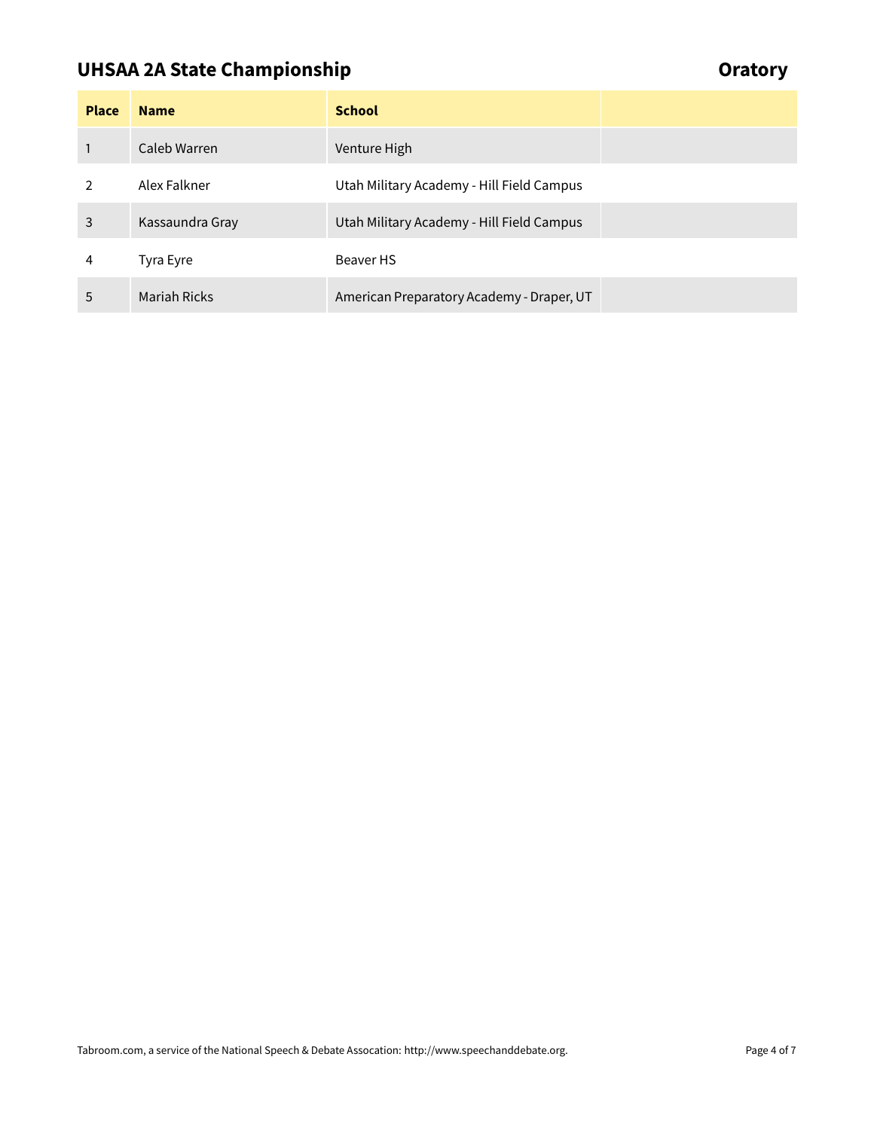# **UHSAA 2A State Championship Construction of the Construction Construction Construction Construction Construction**

| <b>Place</b>  | <b>Name</b>         | <b>School</b>                             |  |
|---------------|---------------------|-------------------------------------------|--|
|               | Caleb Warren        | Venture High                              |  |
| $\mathcal{P}$ | Alex Falkner        | Utah Military Academy - Hill Field Campus |  |
| 3             | Kassaundra Gray     | Utah Military Academy - Hill Field Campus |  |
| 4             | Tyra Eyre           | Beaver HS                                 |  |
| 5             | <b>Mariah Ricks</b> | American Preparatory Academy - Draper, UT |  |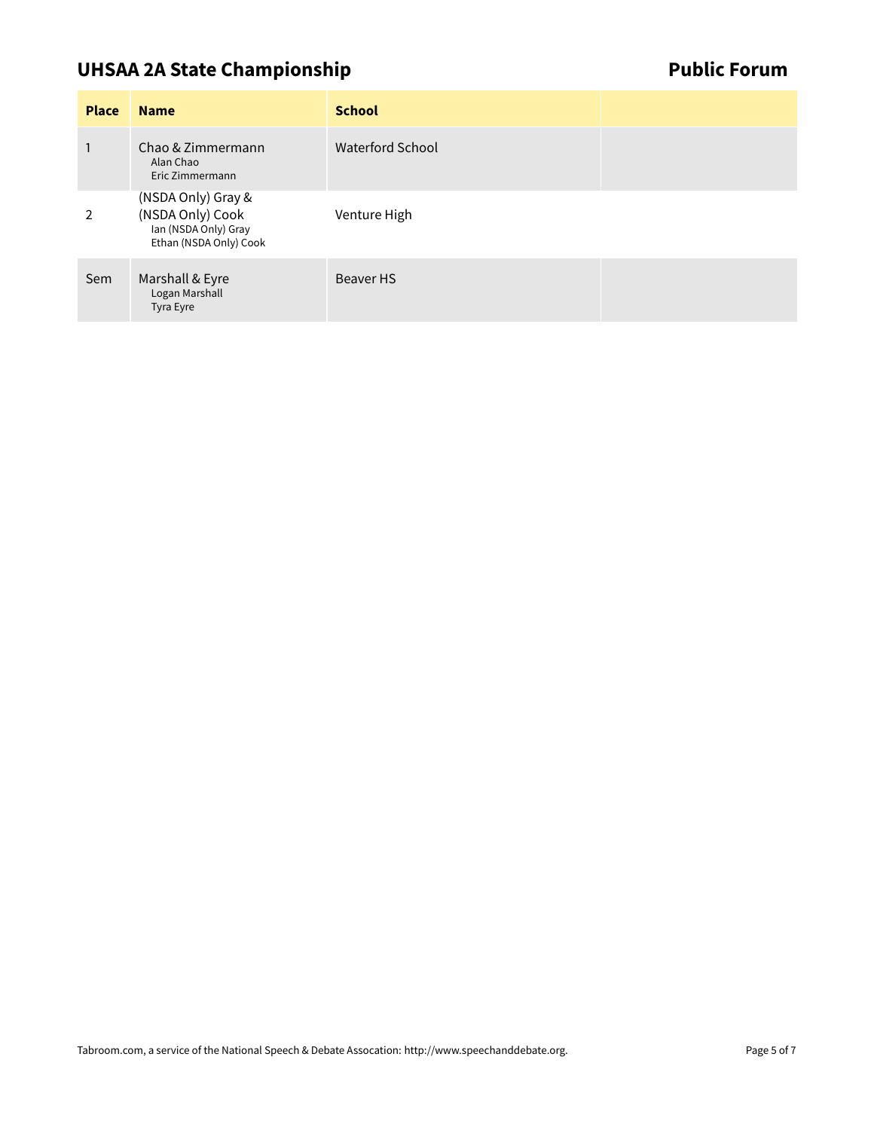# **UHSAA 2A State Championship Contract Contract Contract Contract Contract Contract Contract Contract Contract Contract Contract Contract Contract Contract Contract Contract Contract Contract Contract Contract Contract Cont**

| <b>Place</b>   | <b>Name</b>                                                                              | <b>School</b>    |  |
|----------------|------------------------------------------------------------------------------------------|------------------|--|
|                | Chao & Zimmermann<br>Alan Chao<br>Eric Zimmermann                                        | Waterford School |  |
| $\overline{2}$ | (NSDA Only) Gray &<br>(NSDA Only) Cook<br>Ian (NSDA Only) Gray<br>Ethan (NSDA Only) Cook | Venture High     |  |
| Sem            | Marshall & Eyre<br>Logan Marshall<br>Tyra Eyre                                           | Beaver HS        |  |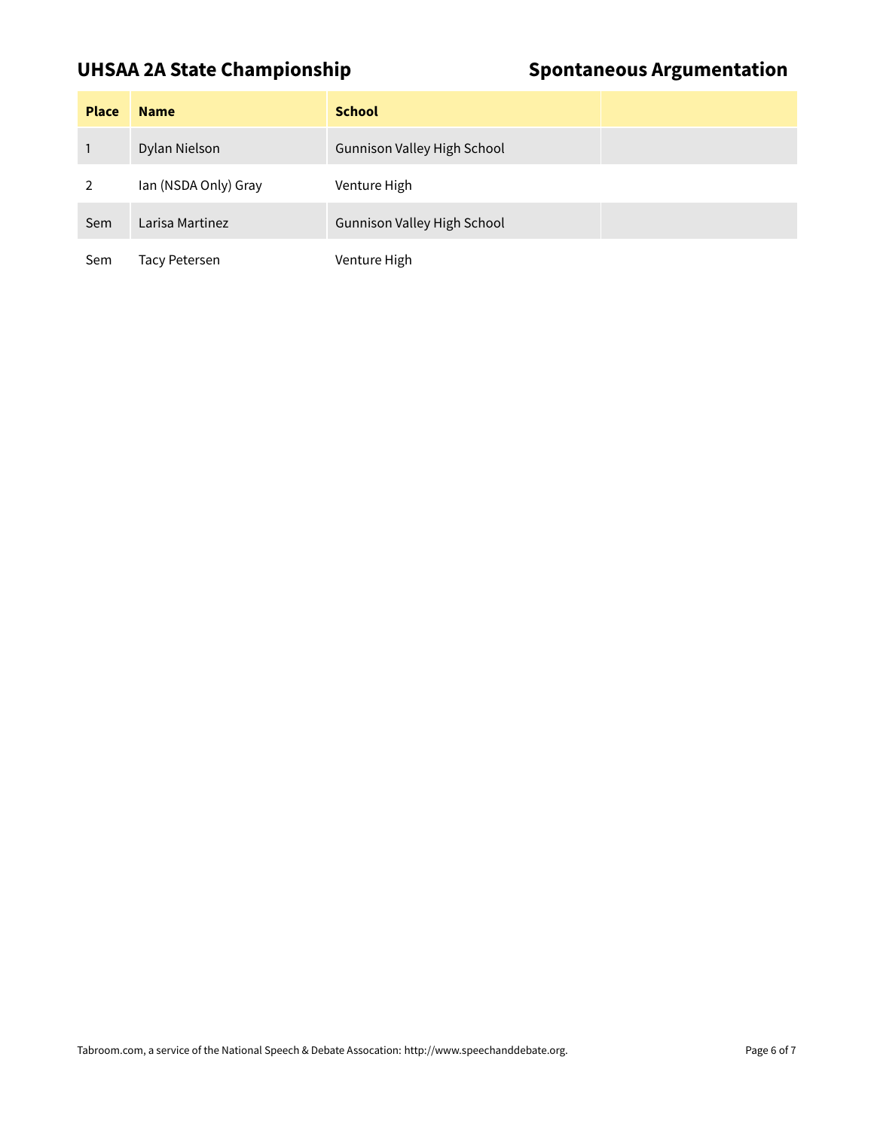### UHSAA 2A State Championship **Spontaneous Argumentation**

| <b>Place</b> | <b>Name</b>          | <b>School</b>                      |
|--------------|----------------------|------------------------------------|
|              | Dylan Nielson        | <b>Gunnison Valley High School</b> |
|              | Ian (NSDA Only) Gray | Venture High                       |
| Sem          | Larisa Martinez      | <b>Gunnison Valley High School</b> |
| Sem          | <b>Tacy Petersen</b> | Venture High                       |